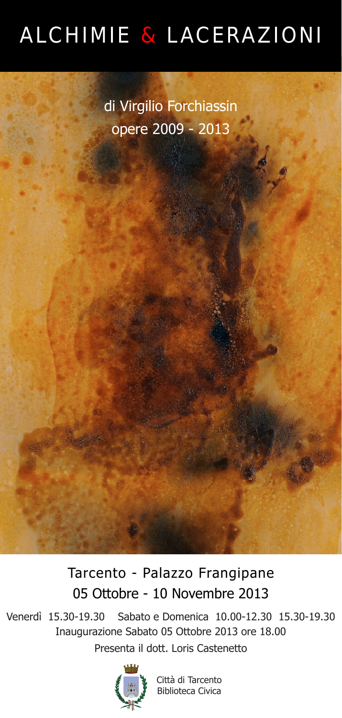## ALCHIMIE & LACERAZIONI

di Virgilio Forchiassin opere 2009 - 2013

Tarcento - Palazzo Frangipane 05 Ottobre - 10 Novembre 2013

Venerdì 15.30-19.30 Sabato e Domenica 10.00-12.30 15.30-19.30 Inaugurazione Sabato 05 Ottobre 2013 ore 18.00 Presenta il dott. Loris Castenetto



Città di Tarcento Biblioteca Civica